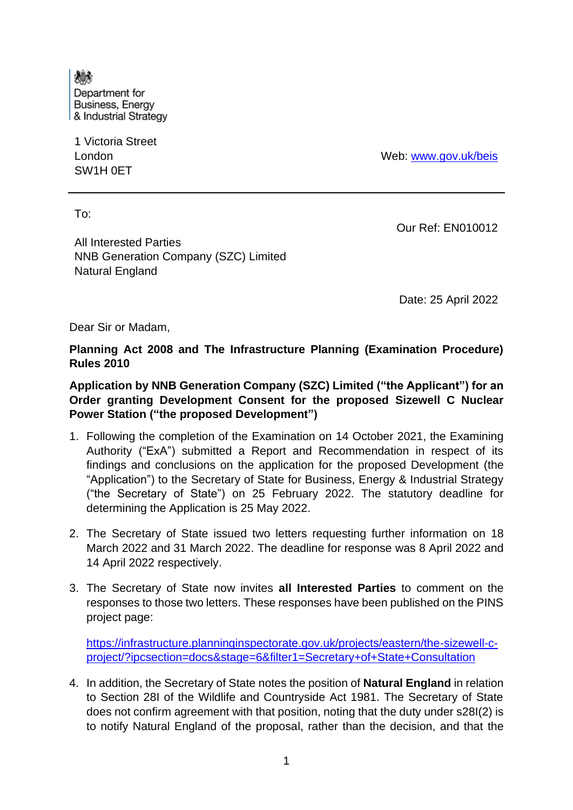燔 Department for **Business, Energy** & Industrial Strategy

1 Victoria Street London SW1H 0ET

Web: [www.gov.uk/beis](http://www.gov.uk/beis)

To:

All Interested Parties NNB Generation Company (SZC) Limited Natural England

Our Ref: EN010012

Date: 25 April 2022

Dear Sir or Madam,

**Planning Act 2008 and The Infrastructure Planning (Examination Procedure) Rules 2010**

**Application by NNB Generation Company (SZC) Limited ("the Applicant") for an Order granting Development Consent for the proposed Sizewell C Nuclear Power Station ("the proposed Development")**

- 1. Following the completion of the Examination on 14 October 2021, the Examining Authority ("ExA") submitted a Report and Recommendation in respect of its findings and conclusions on the application for the proposed Development (the "Application") to the Secretary of State for Business, Energy & Industrial Strategy ("the Secretary of State") on 25 February 2022. The statutory deadline for determining the Application is 25 May 2022.
- 2. The Secretary of State issued two letters requesting further information on 18 March 2022 and 31 March 2022. The deadline for response was 8 April 2022 and 14 April 2022 respectively.
- 3. The Secretary of State now invites **all Interested Parties** to comment on the responses to those two letters. These responses have been published on the PINS project page:

[https://infrastructure.planninginspectorate.gov.uk/projects/eastern/the-sizewell-c](https://infrastructure.planninginspectorate.gov.uk/projects/eastern/the-sizewell-c-project/?ipcsection=docs&stage=6&filter1=Secretary+of+State+Consultation)[project/?ipcsection=docs&stage=6&filter1=Secretary+of+State+Consultation](https://infrastructure.planninginspectorate.gov.uk/projects/eastern/the-sizewell-c-project/?ipcsection=docs&stage=6&filter1=Secretary+of+State+Consultation)

4. In addition, the Secretary of State notes the position of **Natural England** in relation to Section 28I of the Wildlife and Countryside Act 1981. The Secretary of State does not confirm agreement with that position, noting that the duty under s28I(2) is to notify Natural England of the proposal, rather than the decision, and that the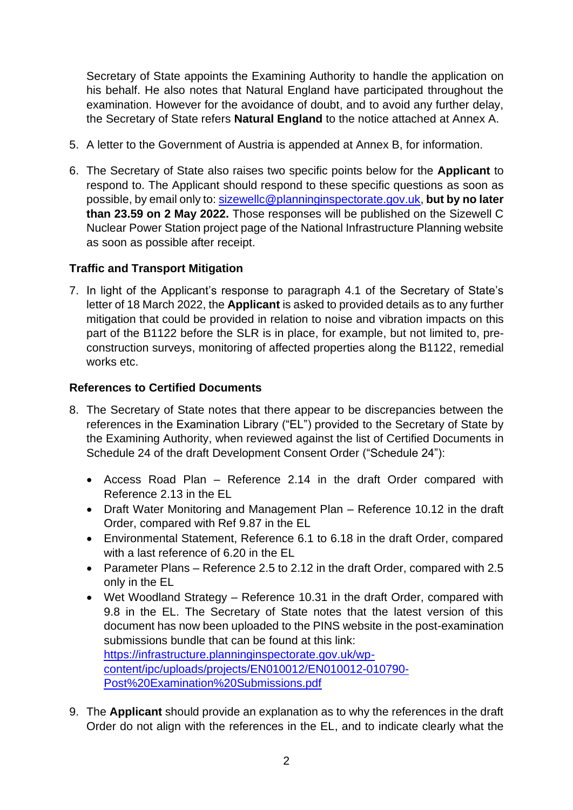Secretary of State appoints the Examining Authority to handle the application on his behalf. He also notes that Natural England have participated throughout the examination. However for the avoidance of doubt, and to avoid any further delay, the Secretary of State refers **Natural England** to the notice attached at Annex A.

- 5. A letter to the Government of Austria is appended at Annex B, for information.
- 6. The Secretary of State also raises two specific points below for the **Applicant** to respond to. The Applicant should respond to these specific questions as soon as possible, by email only to: [sizewellc@planninginspectorate.gov.uk,](mailto:sizewellc@planninginspectorate.gov.uk) **but by no later than 23.59 on 2 May 2022.** Those responses will be published on the Sizewell C Nuclear Power Station project page of the National Infrastructure Planning website as soon as possible after receipt.

# **Traffic and Transport Mitigation**

7. In light of the Applicant's response to paragraph 4.1 of the Secretary of State's letter of 18 March 2022, the **Applicant** is asked to provided details as to any further mitigation that could be provided in relation to noise and vibration impacts on this part of the B1122 before the SLR is in place, for example, but not limited to, preconstruction surveys, monitoring of affected properties along the B1122, remedial works etc.

# **References to Certified Documents**

- 8. The Secretary of State notes that there appear to be discrepancies between the references in the Examination Library ("EL") provided to the Secretary of State by the Examining Authority, when reviewed against the list of Certified Documents in Schedule 24 of the draft Development Consent Order ("Schedule 24"):
	- Access Road Plan Reference 2.14 in the draft Order compared with Reference 2.13 in the EL
	- Draft Water Monitoring and Management Plan Reference 10.12 in the draft Order, compared with Ref 9.87 in the EL
	- Environmental Statement, Reference 6.1 to 6.18 in the draft Order, compared with a last reference of 6.20 in the EL
	- Parameter Plans Reference 2.5 to 2.12 in the draft Order, compared with 2.5 only in the EL
	- Wet Woodland Strategy Reference 10.31 in the draft Order, compared with 9.8 in the EL. The Secretary of State notes that the latest version of this document has now been uploaded to the PINS website in the post-examination submissions bundle that can be found at this link: [https://infrastructure.planninginspectorate.gov.uk/wp](https://infrastructure.planninginspectorate.gov.uk/wp-content/ipc/uploads/projects/EN010012/EN010012-010790-Post%20Examination%20Submissions.pdf)[content/ipc/uploads/projects/EN010012/EN010012-010790-](https://infrastructure.planninginspectorate.gov.uk/wp-content/ipc/uploads/projects/EN010012/EN010012-010790-Post%20Examination%20Submissions.pdf)
		- [Post%20Examination%20Submissions.pdf](https://infrastructure.planninginspectorate.gov.uk/wp-content/ipc/uploads/projects/EN010012/EN010012-010790-Post%20Examination%20Submissions.pdf)
- 9. The **Applicant** should provide an explanation as to why the references in the draft Order do not align with the references in the EL, and to indicate clearly what the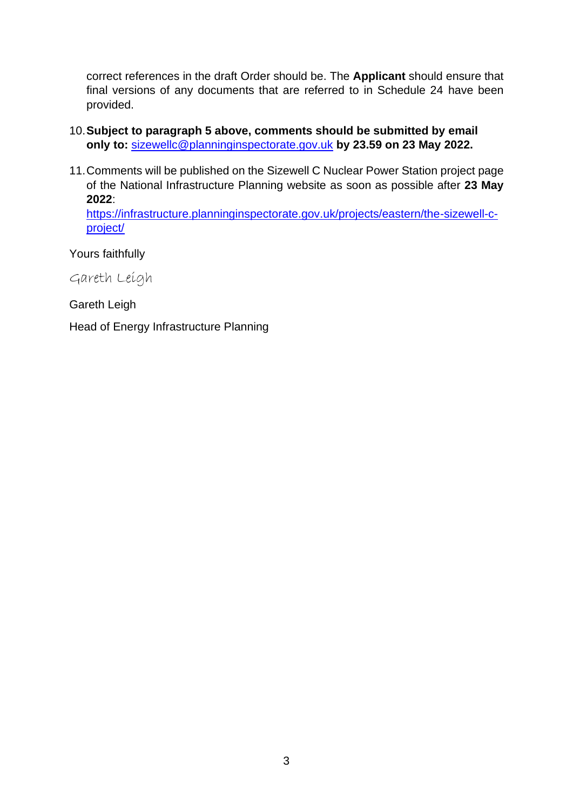correct references in the draft Order should be. The **Applicant** should ensure that final versions of any documents that are referred to in Schedule 24 have been provided.

- 10.**Subject to paragraph 5 above, comments should be submitted by email only to:** [sizewellc@planninginspectorate.gov.uk](mailto:sizewellc@planninginspectorate.gov.uk) **by 23.59 on 23 May 2022.**
- 11.Comments will be published on the Sizewell C Nuclear Power Station project page of the National Infrastructure Planning website as soon as possible after **23 May 2022**:

[https://infrastructure.planninginspectorate.gov.uk/projects/eastern/the-sizewell-c](https://infrastructure.planninginspectorate.gov.uk/projects/eastern/the-sizewell-c-project/)[project/](https://infrastructure.planninginspectorate.gov.uk/projects/eastern/the-sizewell-c-project/)

Yours faithfully

Gareth Leigh

Gareth Leigh

Head of Energy Infrastructure Planning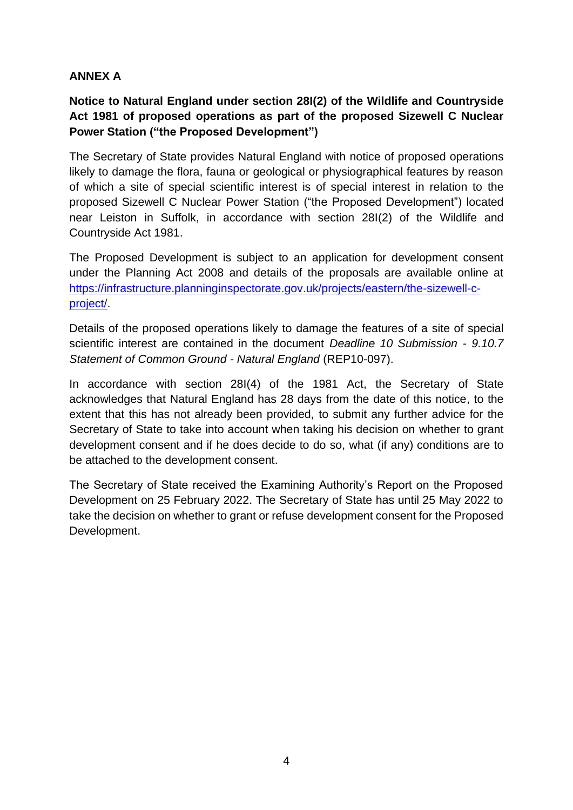# **ANNEX A**

# **Notice to Natural England under section 28I(2) of the Wildlife and Countryside Act 1981 of proposed operations as part of the proposed Sizewell C Nuclear Power Station ("the Proposed Development")**

The Secretary of State provides Natural England with notice of proposed operations likely to damage the flora, fauna or geological or physiographical features by reason of which a site of special scientific interest is of special interest in relation to the proposed Sizewell C Nuclear Power Station ("the Proposed Development") located near Leiston in Suffolk, in accordance with section 28I(2) of the Wildlife and Countryside Act 1981.

The Proposed Development is subject to an application for development consent under the Planning Act 2008 and details of the proposals are available online at [https://infrastructure.planninginspectorate.gov.uk/projects/eastern/the-sizewell-c](https://infrastructure.planninginspectorate.gov.uk/projects/eastern/the-sizewell-c-project/)[project/.](https://infrastructure.planninginspectorate.gov.uk/projects/eastern/the-sizewell-c-project/)

Details of the proposed operations likely to damage the features of a site of special scientific interest are contained in the document *Deadline 10 Submission - 9.10.7 Statement of Common Ground - Natural England* (REP10-097).

In accordance with section 28I(4) of the 1981 Act, the Secretary of State acknowledges that Natural England has 28 days from the date of this notice, to the extent that this has not already been provided, to submit any further advice for the Secretary of State to take into account when taking his decision on whether to grant development consent and if he does decide to do so, what (if any) conditions are to be attached to the development consent.

The Secretary of State received the Examining Authority's Report on the Proposed Development on 25 February 2022. The Secretary of State has until 25 May 2022 to take the decision on whether to grant or refuse development consent for the Proposed Development.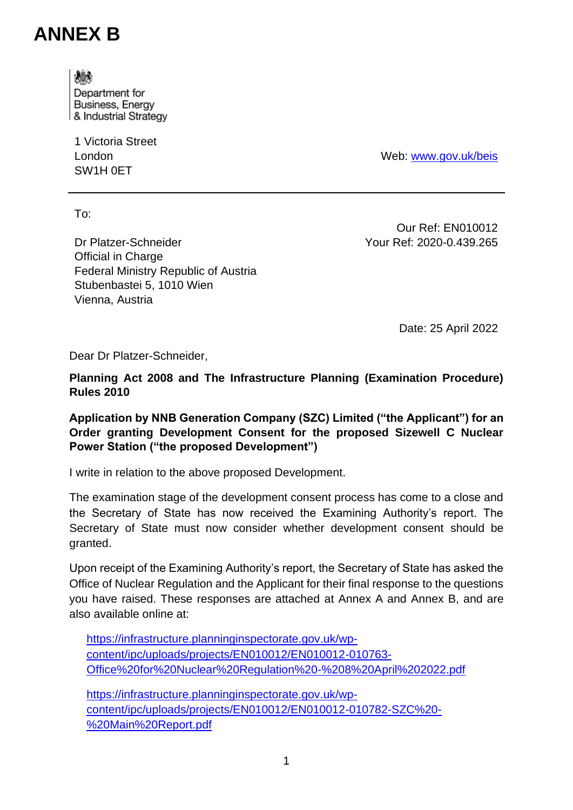# **ANNEX B**

爆

Department for **Business, Energy** & Industrial Strategy

1 Victoria Street London SW1H 0ET

Web: [www.gov.uk/beis](http://www.gov.uk/beis)

To:

Dr Platzer-Schneider Official in Charge Federal Ministry Republic of Austria Stubenbastei 5, 1010 Wien Vienna, Austria

Our Ref: EN010012 Your Ref: 2020-0.439.265

Date: 25 April 2022

Dear Dr Platzer-Schneider,

**Planning Act 2008 and The Infrastructure Planning (Examination Procedure) Rules 2010**

**Application by NNB Generation Company (SZC) Limited ("the Applicant") for an Order granting Development Consent for the proposed Sizewell C Nuclear Power Station ("the proposed Development")**

I write in relation to the above proposed Development.

The examination stage of the development consent process has come to a close and the Secretary of State has now received the Examining Authority's report. The Secretary of State must now consider whether development consent should be granted.

Upon receipt of the Examining Authority's report, the Secretary of State has asked the Office of Nuclear Regulation and the Applicant for their final response to the questions you have raised. These responses are attached at Annex A and Annex B, and are also available online at:

[https://infrastructure.planninginspectorate.gov.uk/wp](https://infrastructure.planninginspectorate.gov.uk/wp-content/ipc/uploads/projects/EN010012/EN010012-010763-Office%20for%20Nuclear%20Regulation%20-%208%20April%202022.pdf)[content/ipc/uploads/projects/EN010012/EN010012-010763-](https://infrastructure.planninginspectorate.gov.uk/wp-content/ipc/uploads/projects/EN010012/EN010012-010763-Office%20for%20Nuclear%20Regulation%20-%208%20April%202022.pdf) [Office%20for%20Nuclear%20Regulation%20-%208%20April%202022.pdf](https://infrastructure.planninginspectorate.gov.uk/wp-content/ipc/uploads/projects/EN010012/EN010012-010763-Office%20for%20Nuclear%20Regulation%20-%208%20April%202022.pdf)

[https://infrastructure.planninginspectorate.gov.uk/wp](https://infrastructure.planninginspectorate.gov.uk/wp-content/ipc/uploads/projects/EN010012/EN010012-010782-SZC%20-%20Main%20Report.pdf)[content/ipc/uploads/projects/EN010012/EN010012-010782-SZC%20-](https://infrastructure.planninginspectorate.gov.uk/wp-content/ipc/uploads/projects/EN010012/EN010012-010782-SZC%20-%20Main%20Report.pdf) [%20Main%20Report.pdf](https://infrastructure.planninginspectorate.gov.uk/wp-content/ipc/uploads/projects/EN010012/EN010012-010782-SZC%20-%20Main%20Report.pdf)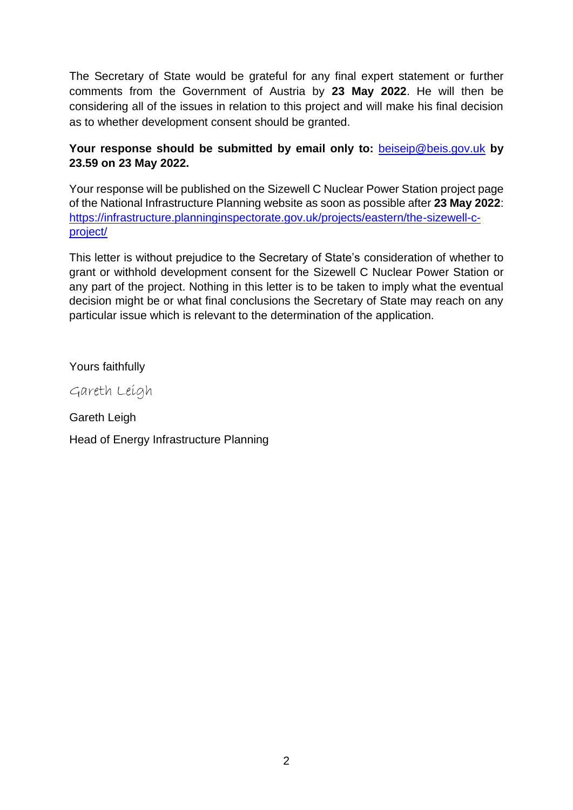The Secretary of State would be grateful for any final expert statement or further comments from the Government of Austria by **23 May 2022**. He will then be considering all of the issues in relation to this project and will make his final decision as to whether development consent should be granted.

## **Your response should be submitted by email only to:** [beiseip@beis.gov.uk](mailto:beiseip@beis.gov.uk) **by 23.59 on 23 May 2022.**

Your response will be published on the Sizewell C Nuclear Power Station project page of the National Infrastructure Planning website as soon as possible after **23 May 2022**: [https://infrastructure.planninginspectorate.gov.uk/projects/eastern/the-sizewell-c](https://infrastructure.planninginspectorate.gov.uk/projects/eastern/the-sizewell-c-project/)[project/](https://infrastructure.planninginspectorate.gov.uk/projects/eastern/the-sizewell-c-project/)

This letter is without prejudice to the Secretary of State's consideration of whether to grant or withhold development consent for the Sizewell C Nuclear Power Station or any part of the project. Nothing in this letter is to be taken to imply what the eventual decision might be or what final conclusions the Secretary of State may reach on any particular issue which is relevant to the determination of the application.

Yours faithfully

Gareth Leigh

Gareth Leigh Head of Energy Infrastructure Planning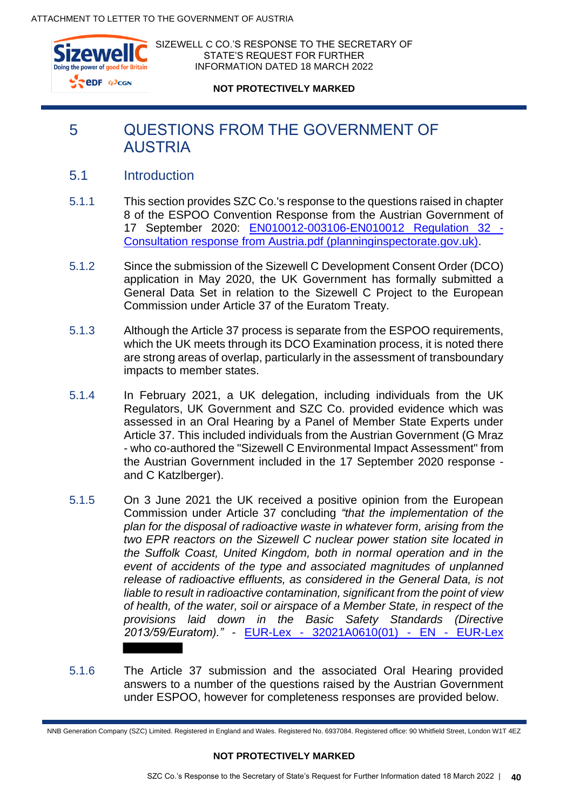

SIZEWELL C CO.'S RESPONSE TO THE SECRETARY OF STATE'S REQUEST FOR FURTHER INFORMATION DATED 18 MARCH 2022

**NOT PROTECTIVELY MARKED**

# 5 QUESTIONS FROM THE GOVERNMENT OF **AUSTRIA**

- 5.1 Introduction
- 5.1.1 This section provides SZC Co.'s response to the questions raised in chapter 8 of the ESPOO Convention Response from the Austrian Government of 17 September 2020: [EN010012-003106-EN010012 Regulation 32 -](https://infrastructure.planninginspectorate.gov.uk/wp-content/ipc/uploads/projects/EN010012/EN010012-003106-EN010012%20Regulation%2032%20-%20Consultation%20response%20from%20Austria.pdf) [Consultation response from Austria.pdf \(planninginspectorate.gov.uk\).](https://infrastructure.planninginspectorate.gov.uk/wp-content/ipc/uploads/projects/EN010012/EN010012-003106-EN010012%20Regulation%2032%20-%20Consultation%20response%20from%20Austria.pdf)
- 5.1.2 Since the submission of the Sizewell C Development Consent Order (DCO) application in May 2020, the UK Government has formally submitted a General Data Set in relation to the Sizewell C Project to the European Commission under Article 37 of the Euratom Treaty.
- 5.1.3 Although the Article 37 process is separate from the ESPOO requirements, which the UK meets through its DCO Examination process, it is noted there are strong areas of overlap, particularly in the assessment of transboundary impacts to member states.
- 5.1.4 In February 2021, a UK delegation, including individuals from the UK Regulators, UK Government and SZC Co. provided evidence which was assessed in an Oral Hearing by a Panel of Member State Experts under Article 37. This included individuals from the Austrian Government (G Mraz - who co-authored the "Sizewell C Environmental Impact Assessment" from the Austrian Government included in the 17 September 2020 response and C Katzlberger).
- 5.1.5 On 3 June 2021 the UK received a positive opinion from the European Commission under Article 37 concluding *"that the implementation of the plan for the disposal of radioactive waste in whatever form, arising from the two EPR reactors on the Sizewell C nuclear power station site located in the Suffolk Coast, United Kingdom, both in normal operation and in the event of accidents of the type and associated magnitudes of unplanned release of radioactive effluents, as considered in the General Data, is not liable to result in radioactive contamination, significant from the point of view of health, of the water, soil or airspace of a Member State, in respect of the provisions laid down in the Basic Safety Standards (Directive 2013/59/Euratom)."* - EUR-Lex - 32021A0610(01) - EN - EUR-Lex
- 5.1.6 The Article 37 submission and the associated Oral Hearing provided answers to a number of the questions raised by the Austrian Government under ESPOO, however for completeness responses are provided below.

NNB Generation Company (SZC) Limited. Registered in England and Wales. Registered No. 6937084. Registered office: 90 Whitfield Street, London W1T 4EZ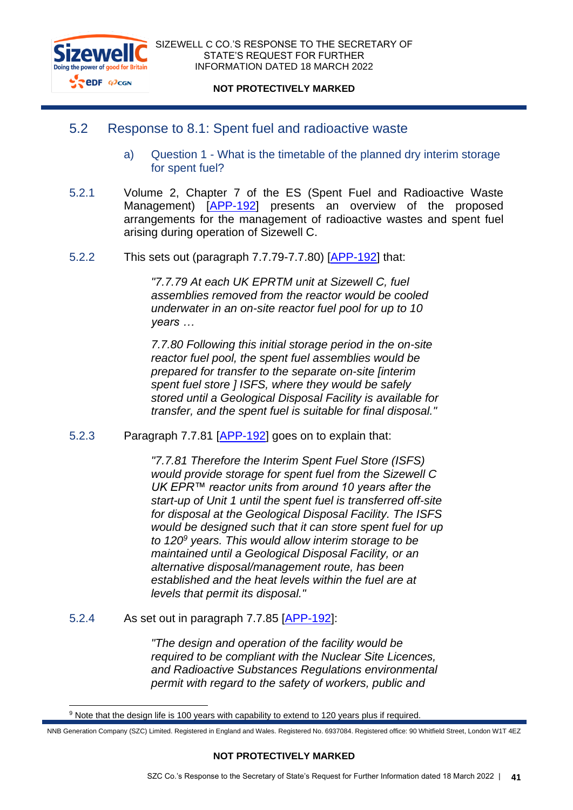

### 5.2 Response to 8.1: Spent fuel and radioactive waste

- a) Question 1 What is the timetable of the planned dry interim storage for spent fuel?
- 5.2.1 Volume 2, Chapter 7 of the ES (Spent Fuel and Radioactive Waste Management) [\[APP-192\]](https://infrastructure.planninginspectorate.gov.uk/wp-content/ipc/uploads/projects/EN010012/EN010012-001812-SZC_Bk6_ES_V2_Ch7_Spent_Fuel_and_Radioactive_Waste_Management.pdf) presents an overview of the proposed arrangements for the management of radioactive wastes and spent fuel arising during operation of Sizewell C.
- 5.2.2 This sets out (paragraph 7.7.79-7.7.80) [\[APP-192\]](https://infrastructure.planninginspectorate.gov.uk/wp-content/ipc/uploads/projects/EN010012/EN010012-001812-SZC_Bk6_ES_V2_Ch7_Spent_Fuel_and_Radioactive_Waste_Management.pdf#page=42) that:

*"7.7.79 At each UK EPRTM unit at Sizewell C, fuel assemblies removed from the reactor would be cooled underwater in an on-site reactor fuel pool for up to 10 years …* 

*7.7.80 Following this initial storage period in the on-site reactor fuel pool, the spent fuel assemblies would be prepared for transfer to the separate on-site [interim spent fuel store ] ISFS, where they would be safely stored until a Geological Disposal Facility is available for transfer, and the spent fuel is suitable for final disposal."* 

5.2.3 Paragraph 7.7.81 [\[APP-192\]](https://infrastructure.planninginspectorate.gov.uk/wp-content/ipc/uploads/projects/EN010012/EN010012-001812-SZC_Bk6_ES_V2_Ch7_Spent_Fuel_and_Radioactive_Waste_Management.pdf#page=42) goes on to explain that:

*"7.7.81 Therefore the Interim Spent Fuel Store (ISFS) would provide storage for spent fuel from the Sizewell C UK EPR™ reactor units from around 10 years after the start-up of Unit 1 until the spent fuel is transferred off-site for disposal at the Geological Disposal Facility. The ISFS would be designed such that it can store spent fuel for up to 120<sup>9</sup> years. This would allow interim storage to be maintained until a Geological Disposal Facility, or an alternative disposal/management route, has been established and the heat levels within the fuel are at levels that permit its disposal."*

5.2.4 As set out in paragraph 7.7.85 [\[APP-192\]](https://infrastructure.planninginspectorate.gov.uk/wp-content/ipc/uploads/projects/EN010012/EN010012-001812-SZC_Bk6_ES_V2_Ch7_Spent_Fuel_and_Radioactive_Waste_Management.pdf#page=43):

*"The design and operation of the facility would be required to be compliant with the Nuclear Site Licences, and Radioactive Substances Regulations environmental permit with regard to the safety of workers, public and* 

<sup>&</sup>lt;sup>9</sup> Note that the design life is 100 years with capability to extend to 120 years plus if required.

NNB Generation Company (SZC) Limited. Registered in England and Wales. Registered No. 6937084. Registered office: 90 Whitfield Street, London W1T 4EZ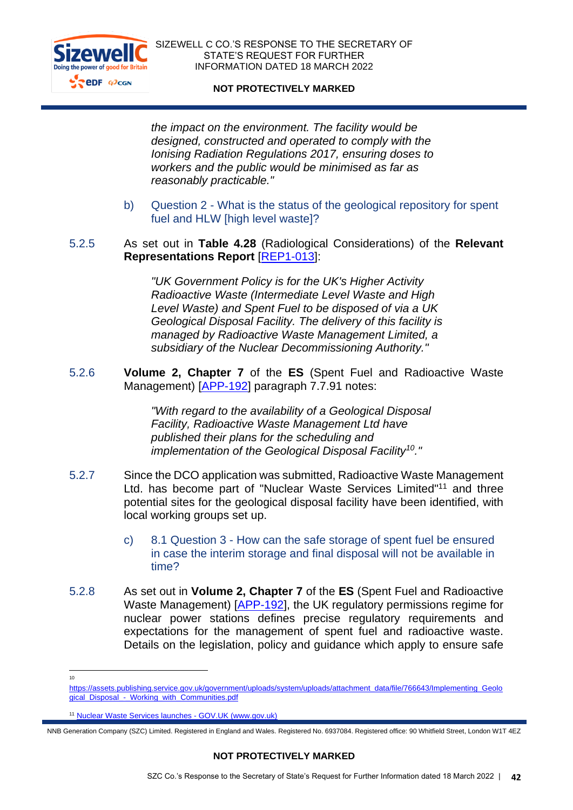

SIZEWELL C CO.'S RESPONSE TO THE SECRETARY OF STATE'S REQUEST FOR FURTHER INFORMATION DATED 18 MARCH 2022

#### **NOT PROTECTIVELY MARKED**

*the impact on the environment. The facility would be designed, constructed and operated to comply with the Ionising Radiation Regulations 2017, ensuring doses to workers and the public would be minimised as far as reasonably practicable."*

b) Question 2 - What is the status of the geological repository for spent fuel and HLW [high level waste]?

### 5.2.5 As set out in **Table 4.28** (Radiological Considerations) of the **Relevant Representations Report** [\[REP1-013\]](https://infrastructure.planninginspectorate.gov.uk/wp-content/ipc/uploads/projects/EN010012/EN010012-003958-Sizewell%20C%20Project%20-%20Comments%20on%20Relevant%20Representations%20(RRs).pdf#page=216):

*"UK Government Policy is for the UK's Higher Activity Radioactive Waste (Intermediate Level Waste and High Level Waste) and Spent Fuel to be disposed of via a UK Geological Disposal Facility. The delivery of this facility is managed by Radioactive Waste Management Limited, a subsidiary of the Nuclear Decommissioning Authority."*

5.2.6 **Volume 2, Chapter 7** of the **ES** (Spent Fuel and Radioactive Waste Management) [\[APP-192\]](https://infrastructure.planninginspectorate.gov.uk/wp-content/ipc/uploads/projects/EN010012/EN010012-001812-SZC_Bk6_ES_V2_Ch7_Spent_Fuel_and_Radioactive_Waste_Management.pdf#page=46) paragraph 7.7.91 notes:

> *"With regard to the availability of a Geological Disposal Facility, Radioactive Waste Management Ltd have published their plans for the scheduling and implementation of the Geological Disposal Facility<sup>10</sup>."*

- 5.2.7 Since the DCO application was submitted, Radioactive Waste Management Ltd. has become part of "Nuclear Waste Services Limited"<sup>11</sup> and three potential sites for the geological disposal facility have been identified, with local working groups set up.
	- c) 8.1 Question 3 How can the safe storage of spent fuel be ensured in case the interim storage and final disposal will not be available in time?
- 5.2.8 As set out in **Volume 2, Chapter 7** of the **ES** (Spent Fuel and Radioactive Waste Management) [\[APP-192\]](https://infrastructure.planninginspectorate.gov.uk/wp-content/ipc/uploads/projects/EN010012/EN010012-001812-SZC_Bk6_ES_V2_Ch7_Spent_Fuel_and_Radioactive_Waste_Management.pdf), the UK regulatory permissions regime for nuclear power stations defines precise regulatory requirements and expectations for the management of spent fuel and radioactive waste. Details on the legislation, policy and guidance which apply to ensure safe

<sup>10</sup>

[https://assets.publishing.service.gov.uk/government/uploads/system/uploads/attachment\\_data/file/766643/Implementing\\_Geolo](https://assets.publishing.service.gov.uk/government/uploads/system/uploads/attachment_data/file/766643/Implementing_Geological_Disposal_-_Working_with_Communities.pdf) [gical\\_Disposal\\_-\\_Working\\_with\\_Communities.pdf](https://assets.publishing.service.gov.uk/government/uploads/system/uploads/attachment_data/file/766643/Implementing_Geological_Disposal_-_Working_with_Communities.pdf)

<sup>11</sup> [Nuclear Waste Services launches -](https://www.gov.uk/government/news/nuclear-waste-services-launches) GOV.UK (www.gov.uk)

NNB Generation Company (SZC) Limited. Registered in England and Wales. Registered No. 6937084. Registered office: 90 Whitfield Street, London W1T 4EZ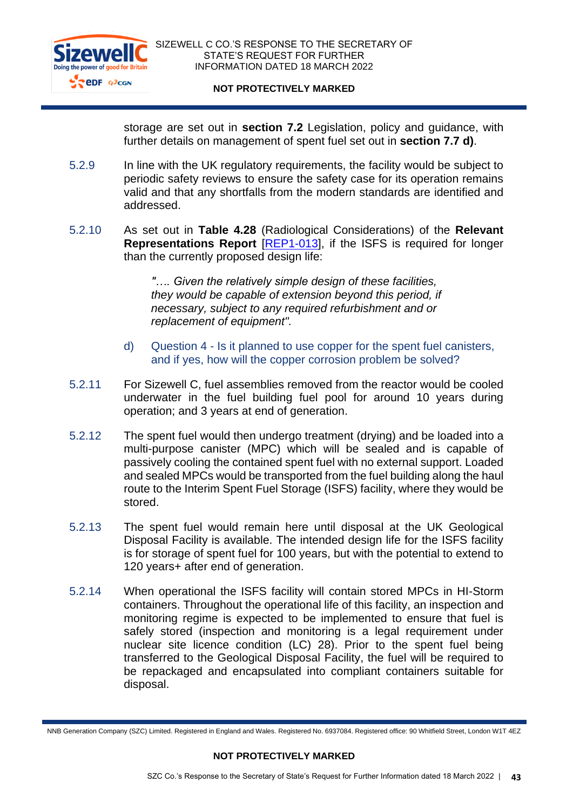

storage are set out in **section 7.2** Legislation, policy and guidance, with further details on management of spent fuel set out in **section 7.7 d)**.

- 5.2.9 In line with the UK regulatory requirements, the facility would be subject to periodic safety reviews to ensure the safety case for its operation remains valid and that any shortfalls from the modern standards are identified and addressed.
- 5.2.10 As set out in **Table 4.28** (Radiological Considerations) of the **Relevant Representations Report** [\[REP1-013\]](https://infrastructure.planninginspectorate.gov.uk/wp-content/ipc/uploads/projects/EN010012/EN010012-003958-Sizewell%20C%20Project%20-%20Comments%20on%20Relevant%20Representations%20(RRs).pdf#page=216), if the ISFS is required for longer than the currently proposed design life:

*"…. Given the relatively simple design of these facilities, they would be capable of extension beyond this period, if necessary, subject to any required refurbishment and or replacement of equipment".*

- d) Question 4 Is it planned to use copper for the spent fuel canisters, and if yes, how will the copper corrosion problem be solved?
- 5.2.11 For Sizewell C, fuel assemblies removed from the reactor would be cooled underwater in the fuel building fuel pool for around 10 years during operation; and 3 years at end of generation.
- 5.2.12 The spent fuel would then undergo treatment (drying) and be loaded into a multi-purpose canister (MPC) which will be sealed and is capable of passively cooling the contained spent fuel with no external support. Loaded and sealed MPCs would be transported from the fuel building along the haul route to the Interim Spent Fuel Storage (ISFS) facility, where they would be stored.
- 5.2.13 The spent fuel would remain here until disposal at the UK Geological Disposal Facility is available. The intended design life for the ISFS facility is for storage of spent fuel for 100 years, but with the potential to extend to 120 years+ after end of generation.
- 5.2.14 When operational the ISFS facility will contain stored MPCs in HI-Storm containers. Throughout the operational life of this facility, an inspection and monitoring regime is expected to be implemented to ensure that fuel is safely stored (inspection and monitoring is a legal requirement under nuclear site licence condition (LC) 28). Prior to the spent fuel being transferred to the Geological Disposal Facility, the fuel will be required to be repackaged and encapsulated into compliant containers suitable for disposal.

NNB Generation Company (SZC) Limited. Registered in England and Wales. Registered No. 6937084. Registered office: 90 Whitfield Street, London W1T 4EZ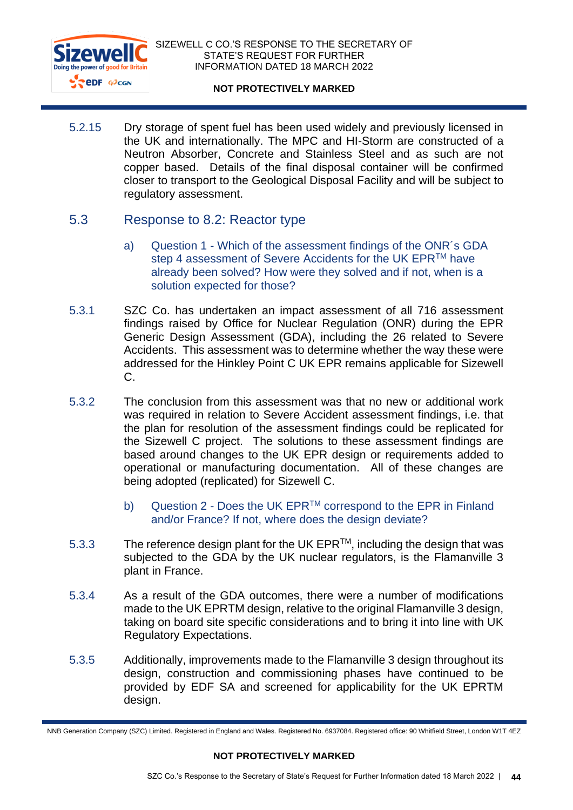

5.2.15 Dry storage of spent fuel has been used widely and previously licensed in the UK and internationally. The MPC and HI-Storm are constructed of a Neutron Absorber, Concrete and Stainless Steel and as such are not copper based. Details of the final disposal container will be confirmed closer to transport to the Geological Disposal Facility and will be subject to regulatory assessment.

### 5.3 Response to 8.2: Reactor type

- a) Question 1 Which of the assessment findings of the ONR´s GDA step 4 assessment of Severe Accidents for the UK EPR™ have already been solved? How were they solved and if not, when is a solution expected for those?
- 5.3.1 SZC Co. has undertaken an impact assessment of all 716 assessment findings raised by Office for Nuclear Regulation (ONR) during the EPR Generic Design Assessment (GDA), including the 26 related to Severe Accidents. This assessment was to determine whether the way these were addressed for the Hinkley Point C UK EPR remains applicable for Sizewell  $C_{\cdot}$
- 5.3.2 The conclusion from this assessment was that no new or additional work was required in relation to Severe Accident assessment findings, i.e. that the plan for resolution of the assessment findings could be replicated for the Sizewell C project. The solutions to these assessment findings are based around changes to the UK EPR design or requirements added to operational or manufacturing documentation. All of these changes are being adopted (replicated) for Sizewell C.
	- b) Question 2 Does the UK EPR™ correspond to the EPR in Finland and/or France? If not, where does the design deviate?
- 5.3.3 The reference design plant for the UK  $EPR^{TM}$ , including the design that was subjected to the GDA by the UK nuclear regulators, is the Flamanville 3 plant in France.
- 5.3.4 As a result of the GDA outcomes, there were a number of modifications made to the UK EPRTM design, relative to the original Flamanville 3 design, taking on board site specific considerations and to bring it into line with UK Regulatory Expectations.
- 5.3.5 Additionally, improvements made to the Flamanville 3 design throughout its design, construction and commissioning phases have continued to be provided by EDF SA and screened for applicability for the UK EPRTM design.

NNB Generation Company (SZC) Limited. Registered in England and Wales. Registered No. 6937084. Registered office: 90 Whitfield Street, London W1T 4EZ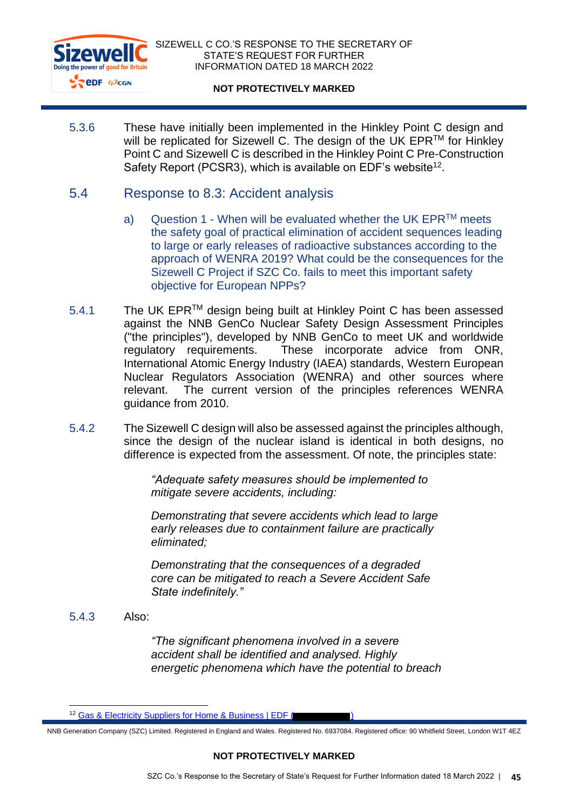

5.3.6 These have initially been implemented in the Hinkley Point C design and will be replicated for Sizewell C. The design of the UK EPR™ for Hinkley Point C and Sizewell C is described in the Hinkley Point C Pre-Construction Safety Report (PCSR3), which is available on EDF's website<sup>12</sup>.

## 5.4 Response to 8.3: Accident analysis

- a) Question 1 When will be evaluated whether the UK EPR $^{TM}$  meets the safety goal of practical elimination of accident sequences leading to large or early releases of radioactive substances according to the approach of WENRA 2019? What could be the consequences for the Sizewell C Project if SZC Co. fails to meet this important safety objective for European NPPs?
- 5.4.1 The UK EPR<sup>™</sup> design being built at Hinkley Point C has been assessed against the NNB GenCo Nuclear Safety Design Assessment Principles ("the principles"), developed by NNB GenCo to meet UK and worldwide regulatory requirements. These incorporate advice from ONR, International Atomic Energy Industry (IAEA) standards, Western European Nuclear Regulators Association (WENRA) and other sources where relevant. The current version of the principles references WENRA guidance from 2010.
- 5.4.2 The Sizewell C design will also be assessed against the principles although, since the design of the nuclear island is identical in both designs, no difference is expected from the assessment. Of note, the principles state:

*"Adequate safety measures should be implemented to mitigate severe accidents, including:*

*Demonstrating that severe accidents which lead to large early releases due to containment failure are practically eliminated;* 

*Demonstrating that the consequences of a degraded core can be mitigated to reach a Severe Accident Safe State indefinitely."*

5.4.3 Also:

*"The significant phenomena involved in a severe accident shall be identified and analysed. Highly energetic phenomena which have the potential to breach* 

NNB Generation Company (SZC) Limited. Registered in England and Wales. Registered No. 6937084. Registered office: 90 Whitfield Street, London W1T 4EZ

<sup>&</sup>lt;sup>12</sup> Gas & Electricity Suppliers for Home & Business | EDF (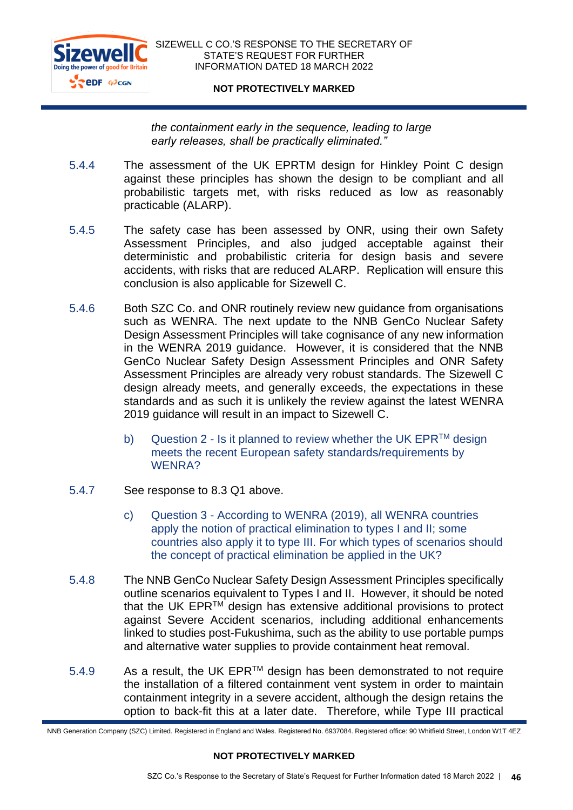

*the containment early in the sequence, leading to large early releases, shall be practically eliminated."*

- 5.4.4 The assessment of the UK EPRTM design for Hinkley Point C design against these principles has shown the design to be compliant and all probabilistic targets met, with risks reduced as low as reasonably practicable (ALARP).
- 5.4.5 The safety case has been assessed by ONR, using their own Safety Assessment Principles, and also judged acceptable against their deterministic and probabilistic criteria for design basis and severe accidents, with risks that are reduced ALARP. Replication will ensure this conclusion is also applicable for Sizewell C.
- 5.4.6 Both SZC Co. and ONR routinely review new guidance from organisations such as WENRA. The next update to the NNB GenCo Nuclear Safety Design Assessment Principles will take cognisance of any new information in the WENRA 2019 guidance. However, it is considered that the NNB GenCo Nuclear Safety Design Assessment Principles and ONR Safety Assessment Principles are already very robust standards. The Sizewell C design already meets, and generally exceeds, the expectations in these standards and as such it is unlikely the review against the latest WENRA 2019 guidance will result in an impact to Sizewell C.
	- b) Question 2 Is it planned to review whether the UK EPR $^{TM}$  design meets the recent European safety standards/requirements by WENRA?
- 5.4.7 See response to 8.3 Q1 above.
	- c) Question 3 According to WENRA (2019), all WENRA countries apply the notion of practical elimination to types I and II; some countries also apply it to type III. For which types of scenarios should the concept of practical elimination be applied in the UK?
- 5.4.8 The NNB GenCo Nuclear Safety Design Assessment Principles specifically outline scenarios equivalent to Types I and II. However, it should be noted that the UK EPRTM design has extensive additional provisions to protect against Severe Accident scenarios, including additional enhancements linked to studies post-Fukushima, such as the ability to use portable pumps and alternative water supplies to provide containment heat removal.
- $5.4.9$  As a result, the UK EPR<sup>TM</sup> design has been demonstrated to not require the installation of a filtered containment vent system in order to maintain containment integrity in a severe accident, although the design retains the option to back-fit this at a later date. Therefore, while Type III practical

NNB Generation Company (SZC) Limited. Registered in England and Wales. Registered No. 6937084. Registered office: 90 Whitfield Street, London W1T 4EZ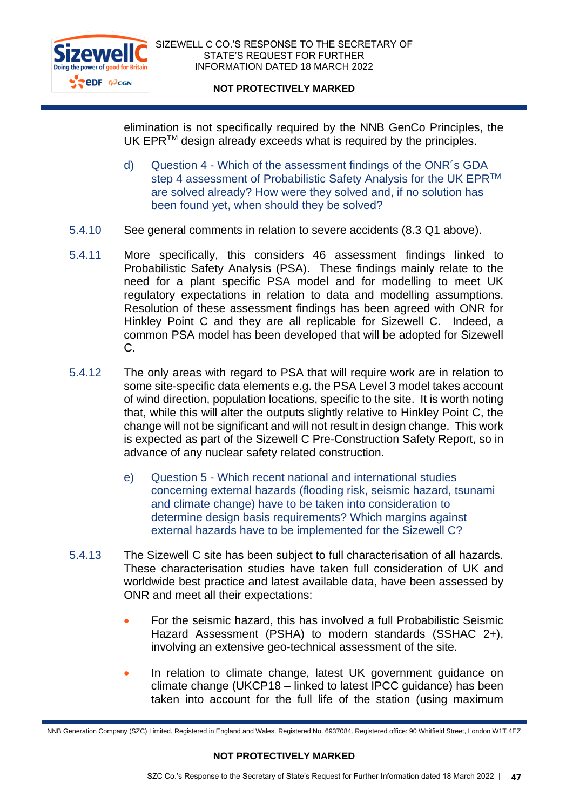

elimination is not specifically required by the NNB GenCo Principles, the UK EPR<sup>™</sup> design already exceeds what is required by the principles.

- d) Question 4 Which of the assessment findings of the ONR´s GDA step 4 assessment of Probabilistic Safety Analysis for the UK EPR™ are solved already? How were they solved and, if no solution has been found yet, when should they be solved?
- 5.4.10 See general comments in relation to severe accidents (8.3 Q1 above).
- 5.4.11 More specifically, this considers 46 assessment findings linked to Probabilistic Safety Analysis (PSA). These findings mainly relate to the need for a plant specific PSA model and for modelling to meet UK regulatory expectations in relation to data and modelling assumptions. Resolution of these assessment findings has been agreed with ONR for Hinkley Point C and they are all replicable for Sizewell C. Indeed, a common PSA model has been developed that will be adopted for Sizewell C.
- 5.4.12 The only areas with regard to PSA that will require work are in relation to some site-specific data elements e.g. the PSA Level 3 model takes account of wind direction, population locations, specific to the site. It is worth noting that, while this will alter the outputs slightly relative to Hinkley Point C, the change will not be significant and will not result in design change. This work is expected as part of the Sizewell C Pre-Construction Safety Report, so in advance of any nuclear safety related construction.
	- e) Question 5 Which recent national and international studies concerning external hazards (flooding risk, seismic hazard, tsunami and climate change) have to be taken into consideration to determine design basis requirements? Which margins against external hazards have to be implemented for the Sizewell C?
- 5.4.13 The Sizewell C site has been subject to full characterisation of all hazards. These characterisation studies have taken full consideration of UK and worldwide best practice and latest available data, have been assessed by ONR and meet all their expectations:
	- For the seismic hazard, this has involved a full Probabilistic Seismic Hazard Assessment (PSHA) to modern standards (SSHAC 2+), involving an extensive geo-technical assessment of the site.
	- In relation to climate change, latest UK government guidance on climate change (UKCP18 – linked to latest IPCC guidance) has been taken into account for the full life of the station (using maximum

NNB Generation Company (SZC) Limited. Registered in England and Wales. Registered No. 6937084. Registered office: 90 Whitfield Street, London W1T 4EZ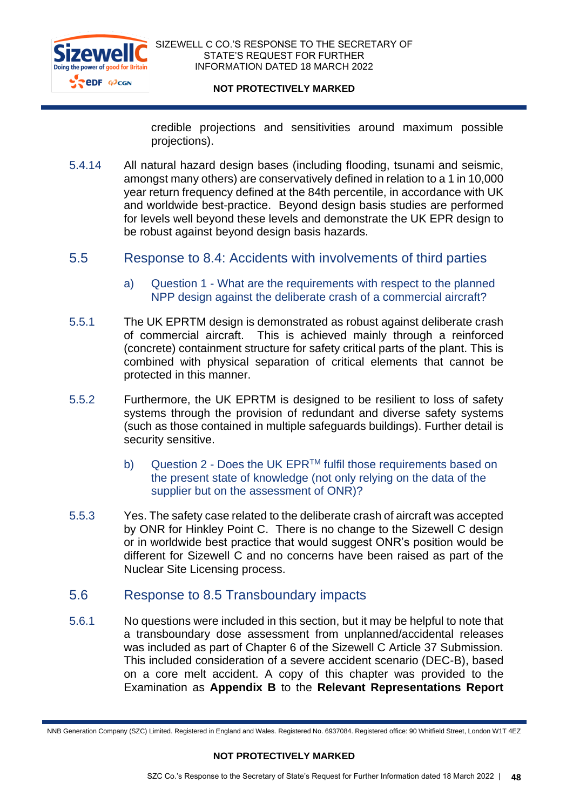

credible projections and sensitivities around maximum possible projections).

- 5.4.14 All natural hazard design bases (including flooding, tsunami and seismic, amongst many others) are conservatively defined in relation to a 1 in 10,000 year return frequency defined at the 84th percentile, in accordance with UK and worldwide best-practice. Beyond design basis studies are performed for levels well beyond these levels and demonstrate the UK EPR design to be robust against beyond design basis hazards.
- 5.5 Response to 8.4: Accidents with involvements of third parties
	- a) Question 1 What are the requirements with respect to the planned NPP design against the deliberate crash of a commercial aircraft?
- 5.5.1 The UK EPRTM design is demonstrated as robust against deliberate crash of commercial aircraft. This is achieved mainly through a reinforced (concrete) containment structure for safety critical parts of the plant. This is combined with physical separation of critical elements that cannot be protected in this manner.
- 5.5.2 Furthermore, the UK EPRTM is designed to be resilient to loss of safety systems through the provision of redundant and diverse safety systems (such as those contained in multiple safeguards buildings). Further detail is security sensitive.
	- b) Question 2 Does the UK EPR™ fulfil those requirements based on the present state of knowledge (not only relying on the data of the supplier but on the assessment of ONR)?
- 5.5.3 Yes. The safety case related to the deliberate crash of aircraft was accepted by ONR for Hinkley Point C. There is no change to the Sizewell C design or in worldwide best practice that would suggest ONR's position would be different for Sizewell C and no concerns have been raised as part of the Nuclear Site Licensing process.

# 5.6 Response to 8.5 Transboundary impacts

5.6.1 No questions were included in this section, but it may be helpful to note that a transboundary dose assessment from unplanned/accidental releases was included as part of Chapter 6 of the Sizewell C Article 37 Submission. This included consideration of a severe accident scenario (DEC-B), based on a core melt accident. A copy of this chapter was provided to the Examination as **Appendix B** to the **Relevant Representations Report**

NNB Generation Company (SZC) Limited. Registered in England and Wales. Registered No. 6937084. Registered office: 90 Whitfield Street, London W1T 4EZ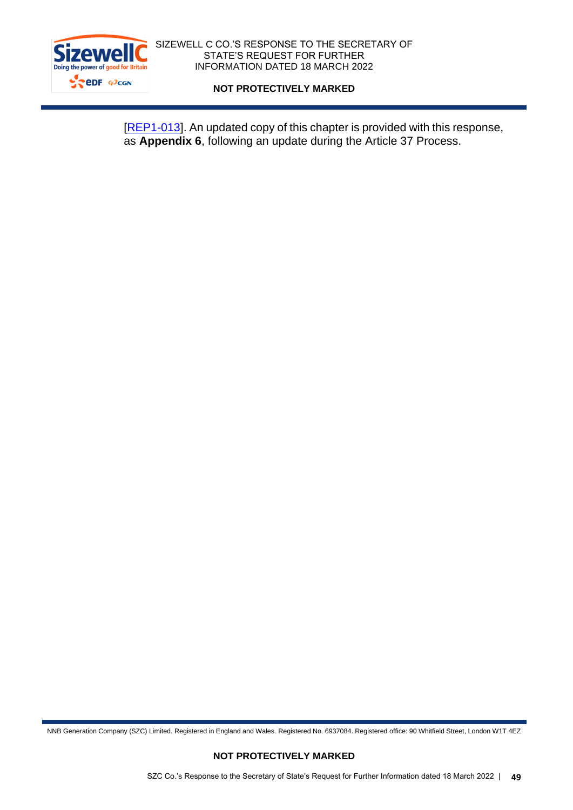

[\[REP1-013\]](https://infrastructure.planninginspectorate.gov.uk/wp-content/ipc/uploads/projects/EN010012/EN010012-003958-Sizewell%20C%20Project%20-%20Comments%20on%20Relevant%20Representations%20(RRs).pdf). An updated copy of this chapter is provided with this response, as **Appendix 6**, following an update during the Article 37 Process.

NNB Generation Company (SZC) Limited. Registered in England and Wales. Registered No. 6937084. Registered office: 90 Whitfield Street, London W1T 4EZ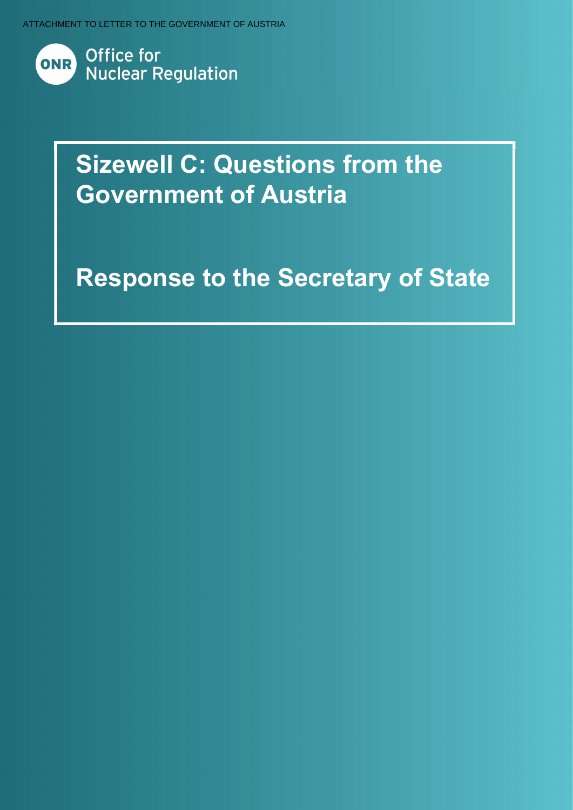ATTACHMENT TO LETTER TO THE GOVERNMENT OF AUSTRIA



# Sizewell C: Questions from the Government of Austria

# **Response to the Secretary of State**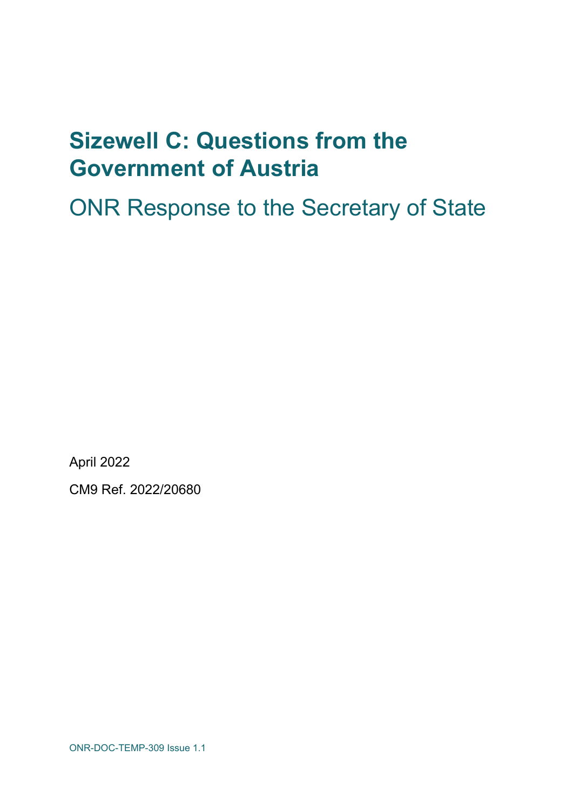# Sizewell C: Questions from the Government of Austria

ONR Response to the Secretary of State

April 2022

CM9 Ref. 2022/20680

ONR-DOC-TEMP-309 Issue 1.1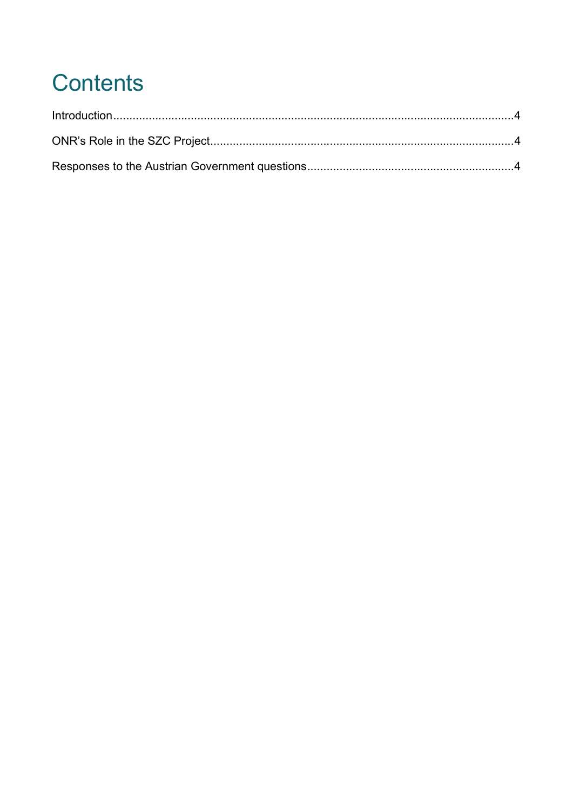# **Contents**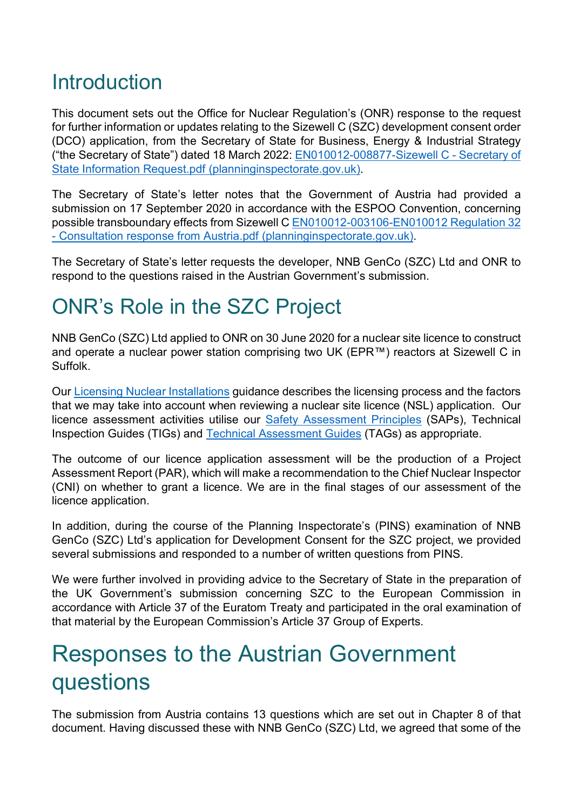# Introduction

This document sets out the Office for Nuclear Regulation's (ONR) response to the request for further information or updates relating to the Sizewell C (SZC) development consent order (DCO) application, from the Secretary of State for Business, Energy & Industrial Strategy ("the Secretary of State") dated 18 March 2022: EN010012-008877-Sizewell C - Secretary of State Information Request.pdf (planninginspectorate.gov.uk).

The Secretary of State's letter notes that the Government of Austria had provided a submission on 17 September 2020 in accordance with the ESPOO Convention, concerning possible transboundary effects from Sizewell C EN010012-003106-EN010012 Regulation 32 - Consultation response from Austria.pdf (planninginspectorate.gov.uk).

The Secretary of State's letter requests the developer, NNB GenCo (SZC) Ltd and ONR to respond to the questions raised in the Austrian Government's submission.

# ONR's Role in the SZC Project

NNB GenCo (SZC) Ltd applied to ONR on 30 June 2020 for a nuclear site licence to construct and operate a nuclear power station comprising two UK (EPR™) reactors at Sizewell C in Suffolk.

Our Licensing Nuclear Installations guidance describes the licensing process and the factors that we may take into account when reviewing a nuclear site licence (NSL) application. Our licence assessment activities utilise our Safety Assessment Principles (SAPs), Technical Inspection Guides (TIGs) and Technical Assessment Guides (TAGs) as appropriate.

The outcome of our licence application assessment will be the production of a Project Assessment Report (PAR), which will make a recommendation to the Chief Nuclear Inspector (CNI) on whether to grant a licence. We are in the final stages of our assessment of the licence application.

In addition, during the course of the Planning Inspectorate's (PINS) examination of NNB GenCo (SZC) Ltd's application for Development Consent for the SZC project, we provided several submissions and responded to a number of written questions from PINS.

We were further involved in providing advice to the Secretary of State in the preparation of the UK Government's submission concerning SZC to the European Commission in accordance with Article 37 of the Euratom Treaty and participated in the oral examination of that material by the European Commission's Article 37 Group of Experts.

# Responses to the Austrian Government questions

The submission from Austria contains 13 questions which are set out in Chapter 8 of that document. Having discussed these with NNB GenCo (SZC) Ltd, we agreed that some of the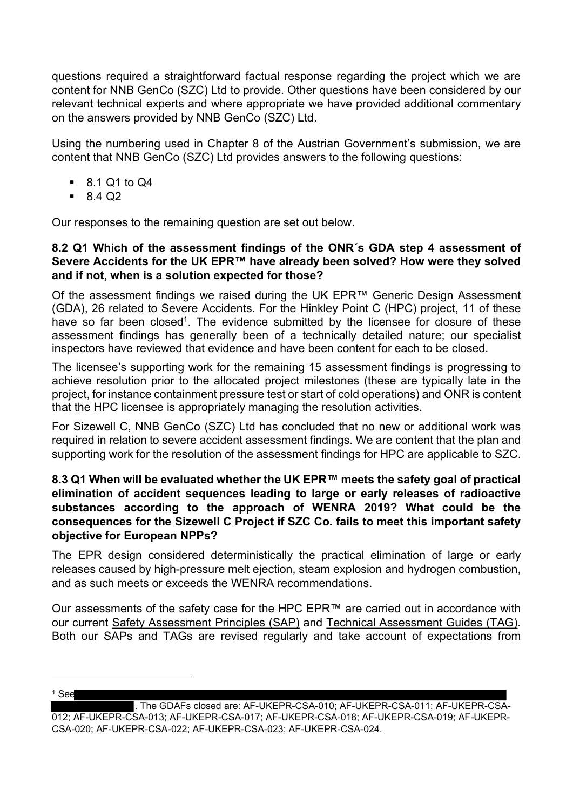questions required a straightforward factual response regarding the project which we are content for NNB GenCo (SZC) Ltd to provide. Other questions have been considered by our relevant technical experts and where appropriate we have provided additional commentary on the answers provided by NNB GenCo (SZC) Ltd.

Using the numbering used in Chapter 8 of the Austrian Government's submission, we are content that NNB GenCo (SZC) Ltd provides answers to the following questions:

- 8.1 Q1 to Q4
- $-8402$

Our responses to the remaining question are set out below.

### 8.2 Q1 Which of the assessment findings of the ONR´s GDA step 4 assessment of Severe Accidents for the UK EPR™ have already been solved? How were they solved and if not, when is a solution expected for those?

Of the assessment findings we raised during the UK EPR™ Generic Design Assessment (GDA), 26 related to Severe Accidents. For the Hinkley Point C (HPC) project, 11 of these have so far been closed<sup>1</sup>. The evidence submitted by the licensee for closure of these assessment findings has generally been of a technically detailed nature; our specialist inspectors have reviewed that evidence and have been content for each to be closed.

The licensee's supporting work for the remaining 15 assessment findings is progressing to achieve resolution prior to the allocated project milestones (these are typically late in the project, for instance containment pressure test or start of cold operations) and ONR is content that the HPC licensee is appropriately managing the resolution activities.

For Sizewell C, NNB GenCo (SZC) Ltd has concluded that no new or additional work was required in relation to severe accident assessment findings. We are content that the plan and supporting work for the resolution of the assessment findings for HPC are applicable to SZC.

## 8.3 Q1 When will be evaluated whether the UK EPR™ meets the safety goal of practical elimination of accident sequences leading to large or early releases of radioactive substances according to the approach of WENRA 2019? What could be the consequences for the Sizewell C Project if SZC Co. fails to meet this important safety objective for European NPPs?

The EPR design considered deterministically the practical elimination of large or early releases caused by high-pressure melt ejection, steam explosion and hydrogen combustion, and as such meets or exceeds the WENRA recommendations.

Our assessments of the safety case for the HPC EPR™ are carried out in accordance with our current Safety Assessment Principles (SAP) and Technical Assessment Guides (TAG). Both our SAPs and TAGs are revised regularly and take account of expectations from

<sup>1</sup> See . The GDAFs closed are: AF-UKEPR-CSA-010; AF-UKEPR-CSA-011; AF-UKEPR-CSA-012; AF-UKEPR-CSA-013; AF-UKEPR-CSA-017; AF-UKEPR-CSA-018; AF-UKEPR-CSA-019; AF-UKEPR-CSA-020; AF-UKEPR-CSA-022; AF-UKEPR-CSA-023; AF-UKEPR-CSA-024.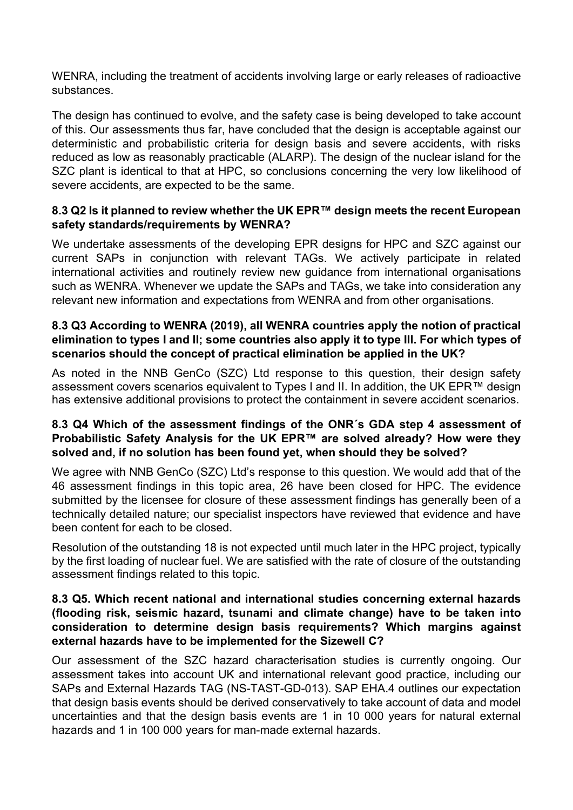WENRA, including the treatment of accidents involving large or early releases of radioactive substances.

The design has continued to evolve, and the safety case is being developed to take account of this. Our assessments thus far, have concluded that the design is acceptable against our deterministic and probabilistic criteria for design basis and severe accidents, with risks reduced as low as reasonably practicable (ALARP). The design of the nuclear island for the SZC plant is identical to that at HPC, so conclusions concerning the very low likelihood of severe accidents, are expected to be the same.

## 8.3 Q2 Is it planned to review whether the UK EPR™ design meets the recent European safety standards/requirements by WENRA?

We undertake assessments of the developing EPR designs for HPC and SZC against our current SAPs in conjunction with relevant TAGs. We actively participate in related international activities and routinely review new guidance from international organisations such as WENRA. Whenever we update the SAPs and TAGs, we take into consideration any relevant new information and expectations from WENRA and from other organisations.

## 8.3 Q3 According to WENRA (2019), all WENRA countries apply the notion of practical elimination to types I and II; some countries also apply it to type III. For which types of scenarios should the concept of practical elimination be applied in the UK?

As noted in the NNB GenCo (SZC) Ltd response to this question, their design safety assessment covers scenarios equivalent to Types I and II. In addition, the UK EPR™ design has extensive additional provisions to protect the containment in severe accident scenarios.

## 8.3 Q4 Which of the assessment findings of the ONR´s GDA step 4 assessment of Probabilistic Safety Analysis for the UK EPR™ are solved already? How were they solved and, if no solution has been found yet, when should they be solved?

We agree with NNB GenCo (SZC) Ltd's response to this question. We would add that of the 46 assessment findings in this topic area, 26 have been closed for HPC. The evidence submitted by the licensee for closure of these assessment findings has generally been of a technically detailed nature; our specialist inspectors have reviewed that evidence and have been content for each to be closed.

Resolution of the outstanding 18 is not expected until much later in the HPC project, typically by the first loading of nuclear fuel. We are satisfied with the rate of closure of the outstanding assessment findings related to this topic.

### 8.3 Q5. Which recent national and international studies concerning external hazards (flooding risk, seismic hazard, tsunami and climate change) have to be taken into consideration to determine design basis requirements? Which margins against external hazards have to be implemented for the Sizewell C?

Our assessment of the SZC hazard characterisation studies is currently ongoing. Our assessment takes into account UK and international relevant good practice, including our SAPs and External Hazards TAG (NS-TAST-GD-013). SAP EHA.4 outlines our expectation that design basis events should be derived conservatively to take account of data and model uncertainties and that the design basis events are 1 in 10 000 years for natural external hazards and 1 in 100 000 years for man-made external hazards.